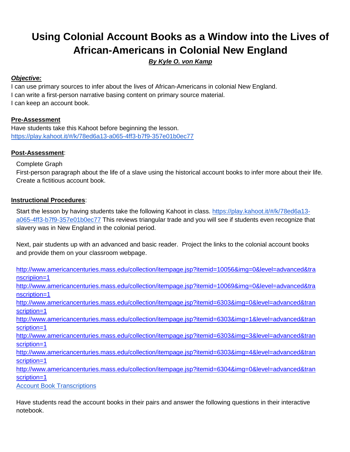# **Using Colonial Account Books as a Window into the Lives of African-Americans in Colonial New England**

*By Kyle O. von Kamp*

## *Objective:*

I can use primary sources to infer about the lives of African-Americans in colonial New England. I can write a first-person narrative basing content on primary source material. I can keep an account book.

# **Pre-Assessment**

Have students take this Kahoot before beginning the lesson. <https://play.kahoot.it/#/k/78ed6a13-a065-4ff3-b7f9-357e01b0ec77>

# **Post-Assessment**:

### Complete Graph

First-person paragraph about the life of a slave using the historical account books to infer more about their life. Create a fictitious account book.

### **Instructional Procedures**:

Start the lesson by having students take the following Kahoot in class. [https://play.kahoot.it/#/k/78ed6a13](https://play.kahoot.it/#/k/78ed6a13-a065-4ff3-b7f9-357e01b0ec77) [a065-4ff3-b7f9-357e01b0ec77](https://play.kahoot.it/#/k/78ed6a13-a065-4ff3-b7f9-357e01b0ec77) This reviews triangular trade and you will see if students even recognize that slavery was in New England in the colonial period.

Next, pair students up with an advanced and basic reader. Project the links to the colonial account books and provide them on your classroom webpage.

[http://www.americancenturies.mass.edu/collection/itempage.jsp?itemid=10056&img=0&level=advanced&tra](http://www.americancenturies.mass.edu/collection/itempage.jsp?itemid=10056&img=0&level=advanced&transcripiion=1) [nscripiion=1](http://www.americancenturies.mass.edu/collection/itempage.jsp?itemid=10056&img=0&level=advanced&transcripiion=1) [http://www.americancenturies.mass.edu/collection/itempage.jsp?itemid=10069&img=0&level=advanced&tra](http://www.americancenturies.mass.edu/collection/itempage.jsp?itemid=10069&img=0&level=advanced&transcription=1) [nscription=1](http://www.americancenturies.mass.edu/collection/itempage.jsp?itemid=10069&img=0&level=advanced&transcription=1) [http://www.americancenturies.mass.edu/collection/itempage.jsp?itemid=6303&img=0&level=advanced&tran](http://www.americancenturies.mass.edu/collection/itempage.jsp?itemid=6303&img=0&level=advanced&transcription=1) [scription=1](http://www.americancenturies.mass.edu/collection/itempage.jsp?itemid=6303&img=0&level=advanced&transcription=1) [http://www.americancenturies.mass.edu/collection/itempage.jsp?itemid=6303&img=1&level=advanced&tran](http://www.americancenturies.mass.edu/collection/itempage.jsp?itemid=6303&img=1&level=advanced&transcription=1) [scription=1](http://www.americancenturies.mass.edu/collection/itempage.jsp?itemid=6303&img=1&level=advanced&transcription=1) [http://www.americancenturies.mass.edu/collection/itempage.jsp?itemid=6303&img=3&level=advanced&tran](http://www.americancenturies.mass.edu/collection/itempage.jsp?itemid=6303&img=3&level=advanced&transcription=1) [scription=1](http://www.americancenturies.mass.edu/collection/itempage.jsp?itemid=6303&img=3&level=advanced&transcription=1) [http://www.americancenturies.mass.edu/collection/itempage.jsp?itemid=6303&img=4&level=advanced&tran](http://www.americancenturies.mass.edu/collection/itempage.jsp?itemid=6303&img=4&level=advanced&transcription=1) [scription=1](http://www.americancenturies.mass.edu/collection/itempage.jsp?itemid=6303&img=4&level=advanced&transcription=1) [http://www.americancenturies.mass.edu/collection/itempage.jsp?itemid=6304&img=0&level=advanced&tran](http://www.americancenturies.mass.edu/collection/itempage.jsp?itemid=6304&img=0&level=advanced&transcription=1) [scription=1](http://www.americancenturies.mass.edu/collection/itempage.jsp?itemid=6304&img=0&level=advanced&transcription=1) [Account Book Transcriptions](http://www.americancenturies.mass.edu/classroom/curriculum_6th/lesson6/acctbks.html)

Have students read the account books in their pairs and answer the following questions in their interactive notebook.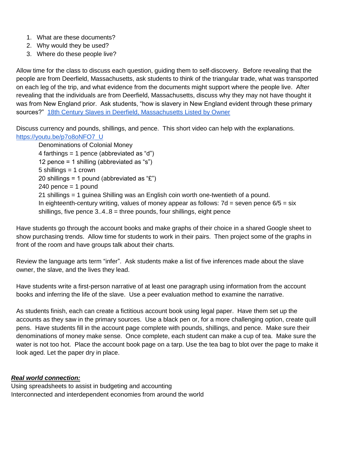- 1. What are these documents?
- 2. Why would they be used?
- 3. Where do these people live?

Allow time for the class to discuss each question, guiding them to self-discovery. Before revealing that the people are from Deerfield, Massachusetts, ask students to think of the triangular trade, what was transported on each leg of the trip, and what evidence from the documents might support where the people live. After revealing that the individuals are from Deerfield, Massachusetts, discuss why they may not have thought it was from New England prior. Ask students, "how is slavery in New England evident through these primary sources?" [18th Century Slaves in Deerfield, Massachusetts Listed by Owner](http://www.americancenturies.mass.edu/classroom/curriculum_6th/lesson6/slaves.html)

Discuss currency and pounds, shillings, and pence. This short video can help with the explanations. [https://youtu.be/p7o8oNFO7\\_U](https://youtu.be/p7o8oNFO7_U)

Denominations of Colonial Money 4 farthings = 1 pence (abbreviated as "d") 12 pence = 1 shilling (abbreviated as "s")  $5$  shillings = 1 crown 20 shillings = 1 pound (abbreviated as " $E$ ")  $240$  pence = 1 pound 21 shillings = 1 guinea Shilling was an English coin worth one-twentieth of a pound. In eighteenth-century writing, values of money appear as follows:  $7d =$  seven pence  $6/5 =$  six shillings, five pence  $3.4.8$  = three pounds, four shillings, eight pence

Have students go through the account books and make graphs of their choice in a shared Google sheet to show purchasing trends. Allow time for students to work in their pairs. Then project some of the graphs in front of the room and have groups talk about their charts.

Review the language arts term "infer". Ask students make a list of five inferences made about the slave owner, the slave, and the lives they lead.

Have students write a first-person narrative of at least one paragraph using information from the account books and inferring the life of the slave. Use a peer evaluation method to examine the narrative.

As students finish, each can create a fictitious account book using legal paper. Have them set up the accounts as they saw in the primary sources. Use a black pen or, for a more challenging option, create quill pens. Have students fill in the account page complete with pounds, shillings, and pence. Make sure their denominations of money make sense. Once complete, each student can make a cup of tea. Make sure the water is not too hot. Place the account book page on a tarp. Use the tea bag to blot over the page to make it look aged. Let the paper dry in place.

#### *Real world connection:*

Using spreadsheets to assist in budgeting and accounting Interconnected and interdependent economies from around the world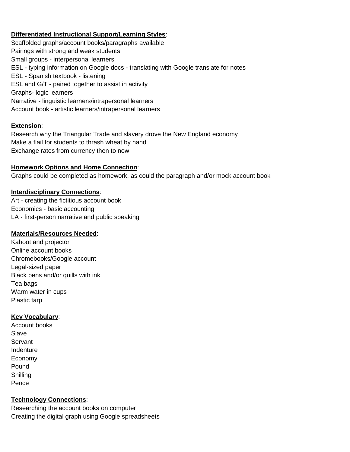## **Differentiated Instructional Support/Learning Styles**:

Scaffolded graphs/account books/paragraphs available Pairings with strong and weak students Small groups - interpersonal learners ESL - typing information on Google docs - translating with Google translate for notes ESL - Spanish textbook - listening ESL and G/T - paired together to assist in activity Graphs- logic learners Narrative - linguistic learners/intrapersonal learners Account book - artistic learners/intrapersonal learners

#### **Extension**:

Research why the Triangular Trade and slavery drove the New England economy Make a flail for students to thrash wheat by hand Exchange rates from currency then to now

#### **Homework Options and Home Connection**:

Graphs could be completed as homework, as could the paragraph and/or mock account book

#### **Interdisciplinary Connections**:

Art - creating the fictitious account book Economics - basic accounting LA - first-person narrative and public speaking

#### **Materials/Resources Needed**:

Kahoot and projector Online account books Chromebooks/Google account Legal-sized paper Black pens and/or quills with ink Tea bags Warm water in cups Plastic tarp

### **Key Vocabulary**:

Account books Slave Servant Indenture Economy Pound **Shilling** Pence

### **Technology Connections**:

Researching the account books on computer Creating the digital graph using Google spreadsheets